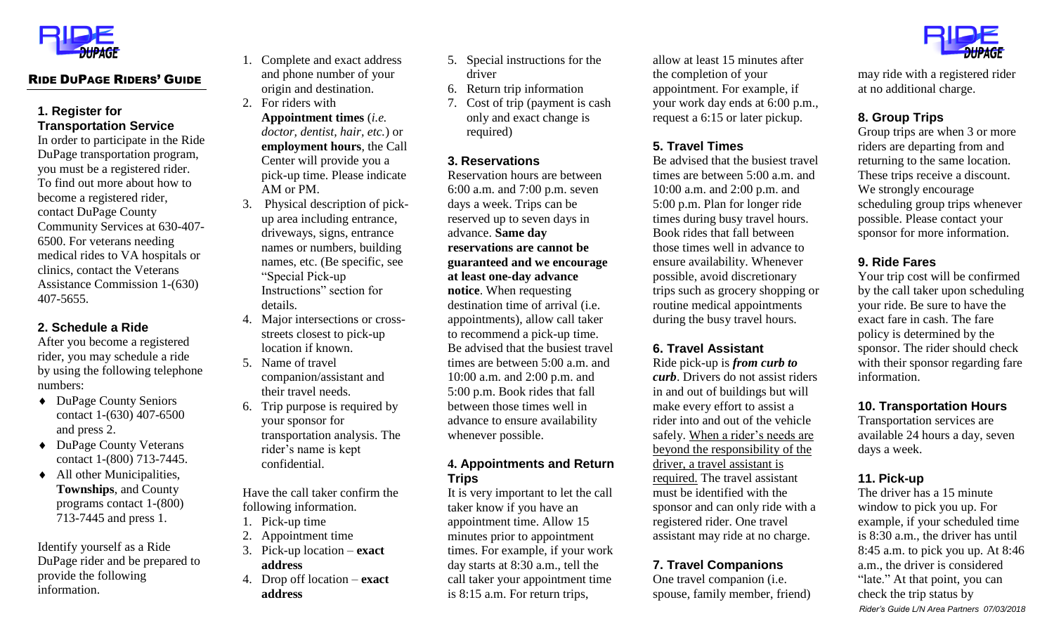

# RIDE DUPAGE RIDERS' GUIDE

#### **1. Register for Transportation Service**

In order to participate in the Ride DuPage transportation program, you must be a registered rider. To find out more about how to become a registered rider, contact DuPage County Community Services at 630-407- 6500. For veterans needing medical rides to VA hospitals or clinics, contact the Veterans Assistance Commission 1-(630) 407-5655.

### **2. Schedule a Ride**

After you become a registered rider, you may schedule a ride by using the following telephone numbers:

- ◆ DuPage County Seniors contact 1-(630) 407-6500 and press 2.
- ◆ DuPage County Veterans contact 1-(800) 713-7445.
- All other Municipalities, **Townships**, and County programs contact 1-(800) 713-7445 and press 1.

Identify yourself as a Ride DuPage rider and be prepared to provide the following information.

- 1. Complete and exact address and phone number of your origin and destination.
- 2. For riders with **Appointment times** (*i.e. doctor, dentist, hair, etc.*) or **employment hours**, the Call Center will provide you a pick-up time. Please indicate AM or PM.
- 3. Physical description of pickup area including entrance, driveways, signs, entrance names or numbers, building names, etc. (Be specific, see "Special Pick-up Instructions" section for details.
- 4. Major intersections or crossstreets closest to pick-up location if known.
- 5. Name of travel companion/assistant and their travel needs.
- 6. Trip purpose is required by your sponsor for transportation analysis. The rider's name is kept confidential.

Have the call taker confirm the following information.

- 1. Pick-up time
- 2. Appointment time
- 3. Pick-up location **exact address**
- 4. Drop off location **exact address**
- 5. Special instructions for the driver
- 6. Return trip information
- 7. Cost of trip (payment is cash only and exact change is required)

#### **3. Reservations**

Reservation hours are between 6:00 a.m. and 7:00 p.m. seven days a week. Trips can be reserved up to seven days in advance. **Same day reservations are cannot be guaranteed and we encourage at least one-day advance notice**. When requesting destination time of arrival (i.e. appointments), allow call taker to recommend a pick-up time. Be advised that the busiest travel times are between 5:00 a.m. and 10:00 a.m. and 2:00 p.m. and 5:00 p.m. Book rides that fall between those times well in advance to ensure availability whenever possible.

### **4. Appointments and Return Trips**

It is very important to let the call taker know if you have an appointment time. Allow 15 minutes prior to appointment times. For example, if your work day starts at 8:30 a.m., tell the call taker your appointment time is 8:15 a.m. For return trips,

allow at least 15 minutes after the completion of your appointment. For example, if your work day ends at 6:00 p.m., request a 6:15 or later pickup.

### **5. Travel Times**

Be advised that the busiest travel times are between 5:00 a.m. and 10:00 a.m. and 2:00 p.m. and 5:00 p.m. Plan for longer ride times during busy travel hours. Book rides that fall between those times well in advance to ensure availability. Whenever possible, avoid discretionary trips such as grocery shopping or routine medical appointments during the busy travel hours.

### **6. Travel Assistant**

Ride pick-up is *from curb to curb*. Drivers do not assist riders in and out of buildings but will make every effort to assist a rider into and out of the vehicle safely. When a rider's needs are beyond the responsibility of the driver, a travel assistant is required. The travel assistant must be identified with the sponsor and can only ride with a registered rider. One travel assistant may ride at no charge.

# **7. Travel Companions**

One travel companion (i.e. spouse, family member, friend)



may ride with a registered rider at no additional charge.

# **8. Group Trips**

Group trips are when 3 or more riders are departing from and returning to the same location. These trips receive a discount. We strongly encourage scheduling group trips whenever possible. Please contact your sponsor for more information.

### **9. Ride Fares**

Your trip cost will be confirmed by the call taker upon scheduling your ride. Be sure to have the exact fare in cash. The fare policy is determined by the sponsor. The rider should check with their sponsor regarding fare information.

#### **10. Transportation Hours**

Transportation services are available 24 hours a day, seven days a week.

### **11. Pick-up**

*Rider's Guide L/N Area Partners 07/03/2018* The driver has a 15 minute window to pick you up. For example, if your scheduled time is 8:30 a.m., the driver has until 8:45 a.m. to pick you up. At 8:46 a.m., the driver is considered "late." At that point, you can check the trip status by